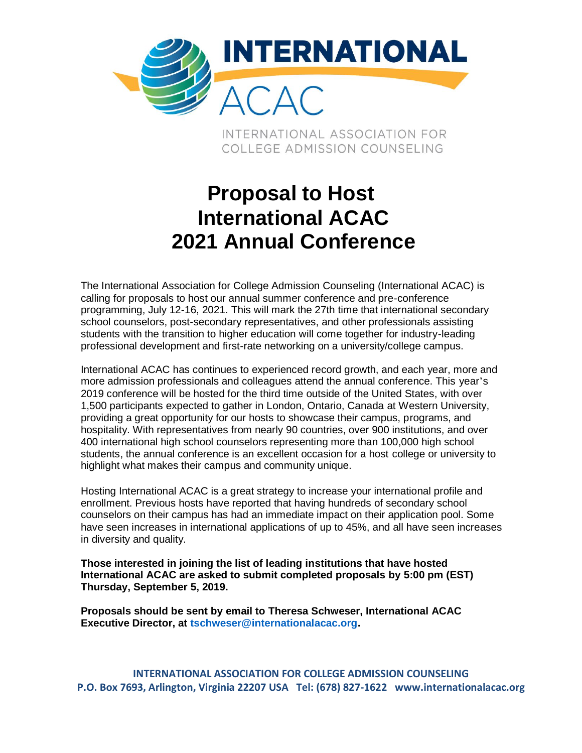

INTERNATIONAL ASSOCIATION FOR COLLEGE ADMISSION COUNSELING

# **Proposal to Host International ACAC 2021 Annual Conference**

The International Association for College Admission Counseling (International ACAC) is calling for proposals to host our annual summer conference and pre-conference programming, July 12-16, 2021. This will mark the 27th time that international secondary school counselors, post-secondary representatives, and other professionals assisting students with the transition to higher education will come together for industry-leading professional development and first-rate networking on a university/college campus.

International ACAC has continues to experienced record growth, and each year, more and more admission professionals and colleagues attend the annual conference. This year's 2019 conference will be hosted for the third time outside of the United States, with over 1,500 participants expected to gather in London, Ontario, Canada at Western University, providing a great opportunity for our hosts to showcase their campus, programs, and hospitality. With representatives from nearly 90 countries, over 900 institutions, and over 400 international high school counselors representing more than 100,000 high school students, the annual conference is an excellent occasion for a host college or university to highlight what makes their campus and community unique.

Hosting International ACAC is a great strategy to increase your international profile and enrollment. Previous hosts have reported that having hundreds of secondary school counselors on their campus has had an immediate impact on their application pool. Some have seen increases in international applications of up to 45%, and all have seen increases in diversity and quality.

**Those interested in joining the list of leading institutions that have hosted International ACAC are asked to submit completed proposals by 5:00 pm (EST) Thursday, September 5, 2019.**

**Proposals should be sent by email to Theresa Schweser, International ACAC Executive Director, at tschweser@internationalacac.org.**

**INTERNATIONAL ASSOCIATION FOR COLLEGE ADMISSION COUNSELING P.O. Box 7693, Arlington, Virginia 22207 USA Tel: (678) 827-1622 www.internationalacac.org**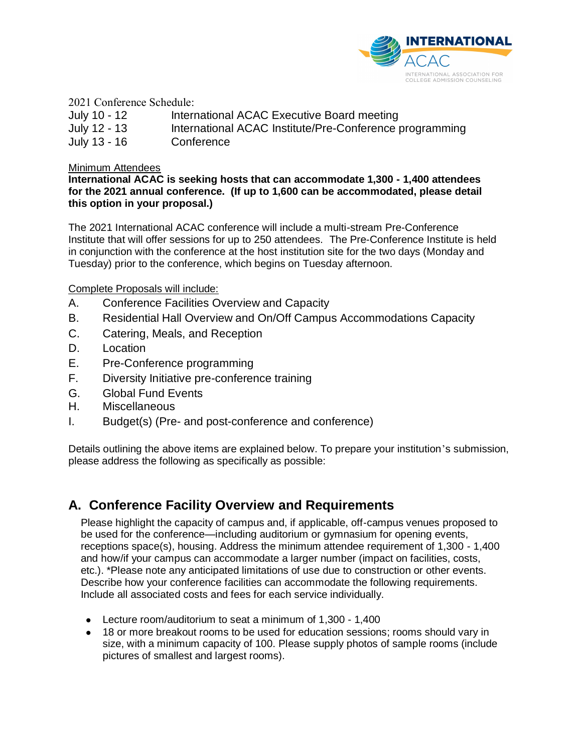

2021 Conference Schedule:

| July 10 - 12 | International ACAC Executive Board meeting              |
|--------------|---------------------------------------------------------|
| July 12 - 13 | International ACAC Institute/Pre-Conference programming |
| July 13 - 16 | Conference                                              |

#### Minimum Attendees

**International ACAC is seeking hosts that can accommodate 1,300 - 1,400 attendees for the 2021 annual conference. (If up to 1,600 can be accommodated, please detail this option in your proposal.)**

The 2021 International ACAC conference will include a multi-stream Pre-Conference Institute that will offer sessions for up to 250 attendees. The Pre-Conference Institute is held in conjunction with the conference at the host institution site for the two days (Monday and Tuesday) prior to the conference, which begins on Tuesday afternoon.

#### Complete Proposals will include:

- A. Conference Facilities Overview and Capacity
- B. Residential Hall Overview and On/Off Campus Accommodations Capacity
- C. Catering, Meals, and Reception
- D. Location
- E. Pre-Conference programming
- F. Diversity Initiative pre-conference training
- G. Global Fund Events
- H. Miscellaneous
- I. Budget(s) (Pre- and post-conference and conference)

Details outlining the above items are explained below. To prepare your institution's submission, please address the following as specifically as possible:

# **A. Conference Facility Overview and Requirements**

Please highlight the capacity of campus and, if applicable, off-campus venues proposed to be used for the conference—including auditorium or gymnasium for opening events, receptions space(s), housing. Address the minimum attendee requirement of 1,300 - 1,400 and how/if your campus can accommodate a larger number (impact on facilities, costs, etc.). \*Please note any anticipated limitations of use due to construction or other events. Describe how your conference facilities can accommodate the following requirements. Include all associated costs and fees for each service individually.

- Lecture room/auditorium to seat a minimum of 1,300 1,400
- 18 or more breakout rooms to be used for education sessions; rooms should vary in size, with a minimum capacity of 100. Please supply photos of sample rooms (include pictures of smallest and largest rooms).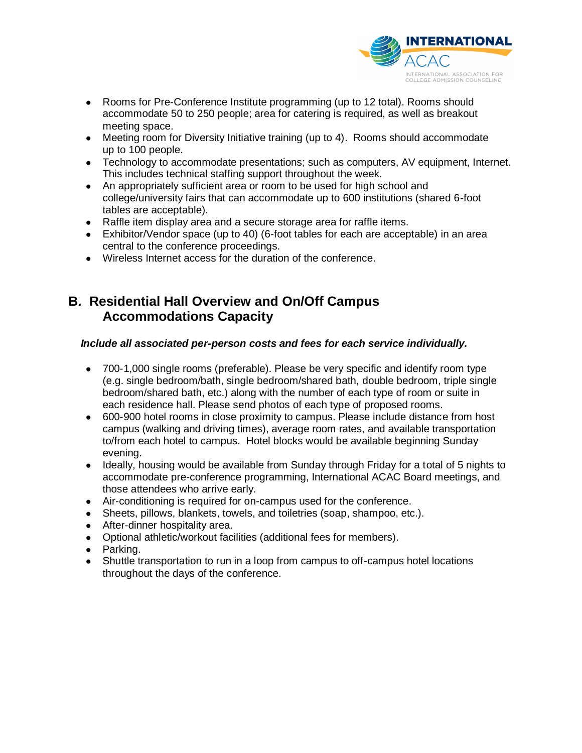

- Rooms for Pre-Conference Institute programming (up to 12 total). Rooms should accommodate 50 to 250 people; area for catering is required, as well as breakout meeting space.
- Meeting room for Diversity Initiative training (up to 4). Rooms should accommodate up to 100 people.
- Technology to accommodate presentations; such as computers, AV equipment, Internet. This includes technical staffing support throughout the week.
- An appropriately sufficient area or room to be used for high school and college/university fairs that can accommodate up to 600 institutions (shared 6-foot tables are acceptable).
- Raffle item display area and a secure storage area for raffle items.
- Exhibitor/Vendor space (up to 40) (6-foot tables for each are acceptable) in an area central to the conference proceedings.
- Wireless Internet access for the duration of the conference.

### **B. Residential Hall Overview and On/Off Campus Accommodations Capacity**

### *Include all associated per-person costs and fees for each service individually.*

- 700-1,000 single rooms (preferable). Please be very specific and identify room type (e.g. single bedroom/bath, single bedroom/shared bath, double bedroom, triple single bedroom/shared bath, etc.) along with the number of each type of room or suite in each residence hall. Please send photos of each type of proposed rooms.
- 600-900 hotel rooms in close proximity to campus. Please include distance from host campus (walking and driving times), average room rates, and available transportation to/from each hotel to campus. Hotel blocks would be available beginning Sunday evening.
- Ideally, housing would be available from Sunday through Friday for a total of 5 nights to accommodate pre-conference programming, International ACAC Board meetings, and those attendees who arrive early.
- Air-conditioning is required for on-campus used for the conference.
- Sheets, pillows, blankets, towels, and toiletries (soap, shampoo, etc.).
- After-dinner hospitality area.
- Optional athletic/workout facilities (additional fees for members).
- Parking.
- Shuttle transportation to run in a loop from campus to off-campus hotel locations throughout the days of the conference.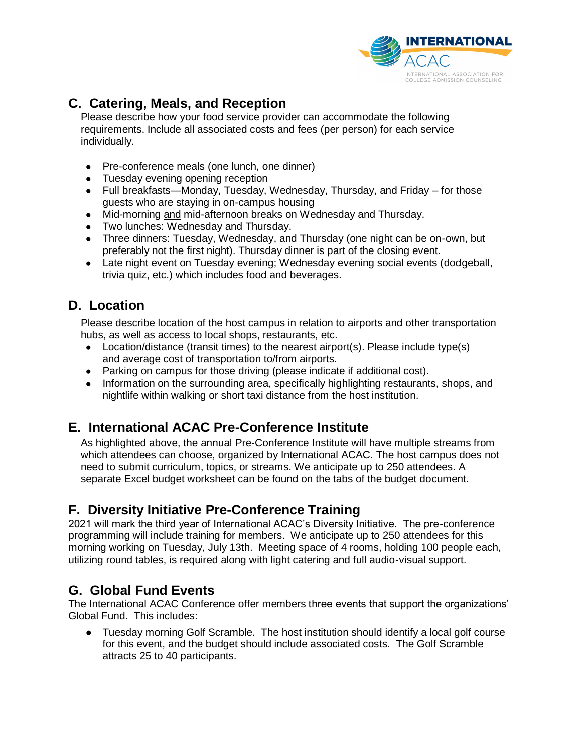

# **C. Catering, Meals, and Reception**

Please describe how your food service provider can accommodate the following requirements. Include all associated costs and fees (per person) for each service individually.

- Pre-conference meals (one lunch, one dinner)
- Tuesday evening opening reception
- $\bullet$  Full breakfasts—Monday, Tuesday, Wednesday, Thursday, and Friday for those guests who are staying in on-campus housing
- Mid-morning and mid-afternoon breaks on Wednesday and Thursday.
- Two lunches: Wednesday and Thursday.
- Three dinners: Tuesday, Wednesday, and Thursday (one night can be on-own, but preferably not the first night). Thursday dinner is part of the closing event.
- Late night event on Tuesday evening; Wednesday evening social events (dodgeball, trivia quiz, etc.) which includes food and beverages.

# **D. Location**

Please describe location of the host campus in relation to airports and other transportation hubs, as well as access to local shops, restaurants, etc.

- Location/distance (transit times) to the nearest airport(s). Please include type(s) and average cost of transportation to/from airports.
- Parking on campus for those driving (please indicate if additional cost).
- Information on the surrounding area, specifically highlighting restaurants, shops, and nightlife within walking or short taxi distance from the host institution.

# **E. International ACAC Pre-Conference Institute**

As highlighted above, the annual Pre-Conference Institute will have multiple streams from which attendees can choose, organized by International ACAC. The host campus does not need to submit curriculum, topics, or streams. We anticipate up to 250 attendees. A separate Excel budget worksheet can be found on the tabs of the budget document.

# **F. Diversity Initiative Pre-Conference Training**

2021 will mark the third year of International ACAC's Diversity Initiative. The pre-conference programming will include training for members. We anticipate up to 250 attendees for this morning working on Tuesday, July 13th. Meeting space of 4 rooms, holding 100 people each, utilizing round tables, is required along with light catering and full audio-visual support.

# **G. Global Fund Events**

The International ACAC Conference offer members three events that support the organizations' Global Fund. This includes:

● Tuesday morning Golf Scramble. The host institution should identify a local golf course for this event, and the budget should include associated costs. The Golf Scramble attracts 25 to 40 participants.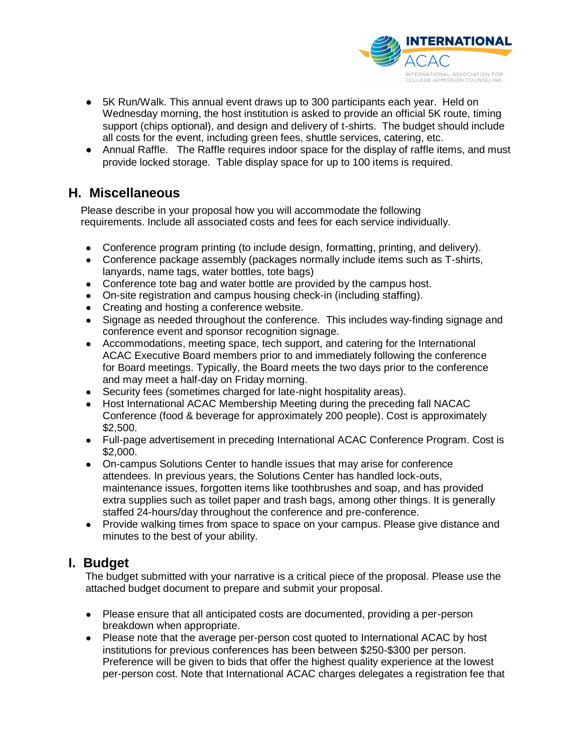

- 5K Run/Walk. This annual event draws up to 300 participants each year. Held on Wednesday morning, the host institution is asked to provide an official 5K route, timing support (chips optional), and design and delivery of t-shirts. The budget should include all costs for the event, including green fees, shuttle services, catering, etc.
- Annual Raffle. The Raffle requires indoor space for the display of raffle items, and must provide locked storage. Table display space for up to 100 items is required.

# **H. Miscellaneous**

Please describe in your proposal how you will accommodate the following requirements. Include all associated costs and fees for each service individually.

- Conference program printing (to include design, formatting, printing, and delivery).
- Conference package assembly (packages normally include items such as T-shirts, lanyards, name tags, water bottles, tote bags)
- Conference tote bag and water bottle are provided by the campus host.
- On-site registration and campus housing check-in (including staffing).
- Creating and hosting a conference website.
- Signage as needed throughout the conference. This includes way-finding signage and conference event and sponsor recognition signage.
- Accommodations, meeting space, tech support, and catering for the International ACAC Executive Board members prior to and immediately following the conference for Board meetings. Typically, the Board meets the two days prior to the conference and may meet a half-day on Friday morning.
- Security fees (sometimes charged for late-night hospitality areas).
- Host International ACAC Membership Meeting during the preceding fall NACAC Conference (food & beverage for approximately 200 people). Cost is approximately \$2,500.
- Full-page advertisement in preceding International ACAC Conference Program. Cost is \$2,000.
- On-campus Solutions Center to handle issues that may arise for conference attendees. In previous years, the Solutions Center has handled lock-outs, maintenance issues, forgotten items like toothbrushes and soap, and has provided extra supplies such as toilet paper and trash bags, among other things. It is generally staffed 24-hours/day throughout the conference and pre-conference.
- Provide walking times from space to space on your campus. Please give distance and minutes to the best of your ability.

# **I. Budget**

The budget submitted with your narrative is a critical piece of the proposal. Please use the attached budget document to prepare and submit your proposal.

- Please ensure that all anticipated costs are documented, providing a per-person breakdown when appropriate.
- Please note that the average per-person cost quoted to International ACAC by host institutions for previous conferences has been between \$250-\$300 per person. Preference will be given to bids that offer the highest quality experience at the lowest per-person cost. Note that International ACAC charges delegates a registration fee that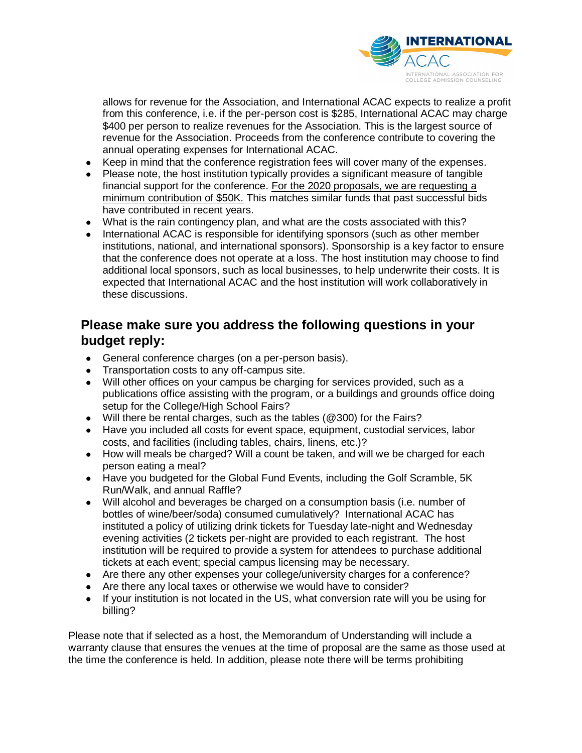

allows for revenue for the Association, and International ACAC expects to realize a profit from this conference, i.e. if the per-person cost is \$285, International ACAC may charge \$400 per person to realize revenues for the Association. This is the largest source of revenue for the Association. Proceeds from the conference contribute to covering the annual operating expenses for International ACAC.

- Keep in mind that the conference registration fees will cover many of the expenses.
- Please note, the host institution typically provides a significant measure of tangible financial support for the conference. For the 2020 proposals, we are requesting a minimum contribution of \$50K. This matches similar funds that past successful bids have contributed in recent years.
- What is the rain contingency plan, and what are the costs associated with this?
- International ACAC is responsible for identifying sponsors (such as other member institutions, national, and international sponsors). Sponsorship is a key factor to ensure that the conference does not operate at a loss. The host institution may choose to find additional local sponsors, such as local businesses, to help underwrite their costs. It is expected that International ACAC and the host institution will work collaboratively in these discussions.

# **Please make sure you address the following questions in your budget reply:**

- General conference charges (on a per-person basis).
- Transportation costs to any off-campus site.
- Will other offices on your campus be charging for services provided, such as a publications office assisting with the program, or a buildings and grounds office doing setup for the College/High School Fairs?
- Will there be rental charges, such as the tables (@300) for the Fairs?
- Have you included all costs for event space, equipment, custodial services, labor costs, and facilities (including tables, chairs, linens, etc.)?
- How will meals be charged? Will a count be taken, and will we be charged for each person eating a meal?
- Have you budgeted for the Global Fund Events, including the Golf Scramble, 5K Run/Walk, and annual Raffle?
- Will alcohol and beverages be charged on a consumption basis (i.e. number of bottles of wine/beer/soda) consumed cumulatively? International ACAC has instituted a policy of utilizing drink tickets for Tuesday late-night and Wednesday evening activities (2 tickets per-night are provided to each registrant. The host institution will be required to provide a system for attendees to purchase additional tickets at each event; special campus licensing may be necessary.
- Are there any other expenses your college/university charges for a conference?
- Are there any local taxes or otherwise we would have to consider?
- If your institution is not located in the US, what conversion rate will you be using for billing?

Please note that if selected as a host, the Memorandum of Understanding will include a warranty clause that ensures the venues at the time of proposal are the same as those used at the time the conference is held. In addition, please note there will be terms prohibiting